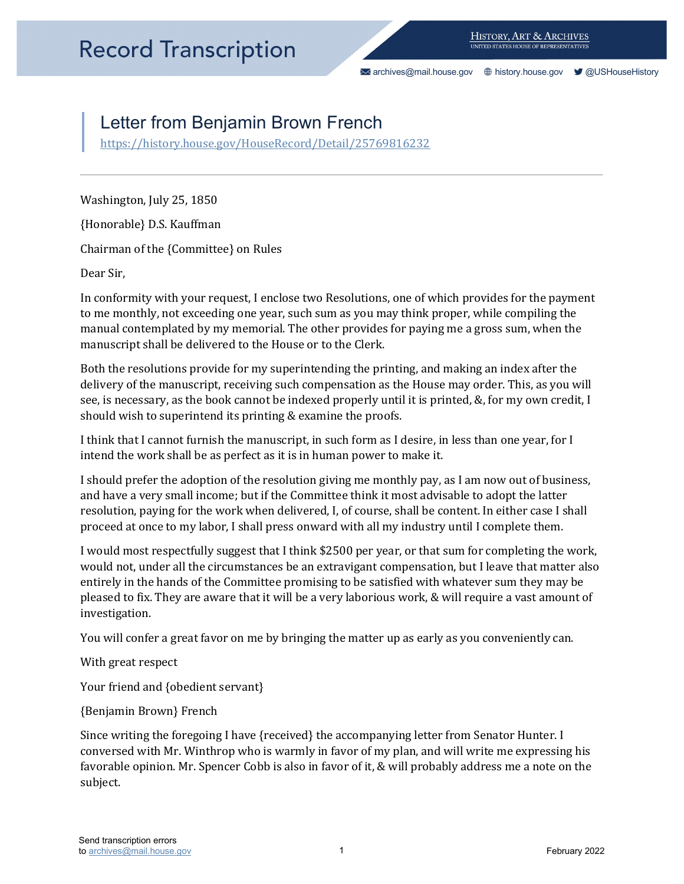[archives@mail.house.gov](mailto:archives@mail.house.gov) [history.house.gov](https://history.house.gov/) [@USHouseHistory](https://twitter.com/ushousehistory/) 

## Letter from Benjamin Brown French

https://history.house.gov/HouseRecord/Detail/25769816232<br>Washington, July 25, 1850

{Honorable} D.S. Kauffman

Chairman of the {Committee} on Rules

Dear Sir,

In conformity with your request, I enclose two Resolutions, one of which provides for the payment to me monthly, not exceeding one year, such sum as you may think proper, while compiling the manual contemplated by my memorial. The other provides for paying me a gross sum, when the manuscript shall be delivered to the House or to the Clerk.

Both the resolutions provide for my superintending the printing, and making an index after the delivery of the manuscript, receiving such compensation as the House may order. This, as you will see, is necessary, as the book cannot be indexed properly until it is printed, &, for my own credit, I should wish to superintend its printing & examine the proofs.

I think that I cannot furnish the manuscript, in such form as I desire, in less than one year, for I intend the work shall be as perfect as it is in human power to make it.

I should prefer the adoption of the resolution giving me monthly pay, as I am now out of business, and have a very small income; but if the Committee think it most advisable to adopt the latter resolution, paying for the work when delivered, I, of course, shall be content. In either case I shall proceed at once to my labor, I shall press onward with all my industry until I complete them.

 I would most respectfully suggest that I think \$2500 per year, or that sum for completing the work, would not, under all the circumstances be an extravigant compensation, but I leave that matter also entirely in the hands of the Committee promising to be satisfied with whatever sum they may be pleased to fix. They are aware that it will be a very laborious work, & will require a vast amount of investigation.

You will confer a great favor on me by bringing the matter up as early as you conveniently can.

With great respect

Your friend and {obedient servant}

{Benjamin Brown} French

 favorable opinion. Mr. Spencer Cobb is also in favor of it, & will probably address me a note on the Since writing the foregoing I have {received} the accompanying letter from Senator Hunter. I conversed with Mr. Winthrop who is warmly in favor of my plan, and will write me expressing his subject.